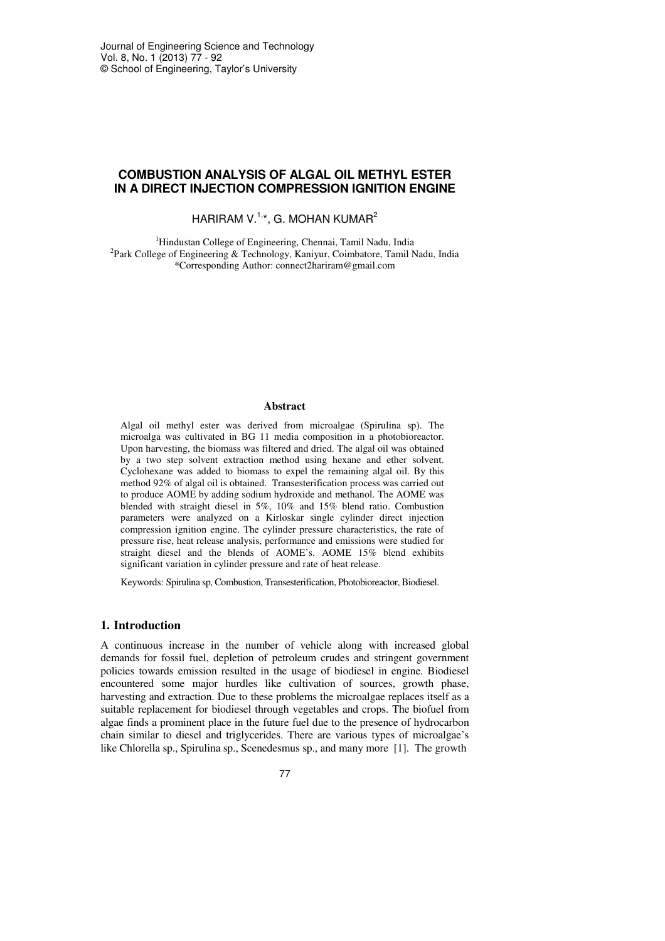# **COMBUSTION ANALYSIS OF ALGAL OIL METHYL ESTER IN A DIRECT INJECTION COMPRESSION IGNITION ENGINE**

HARIRAM V.<sup>1,\*</sup>, G. MOHAN KUMAR<sup>2</sup>

<sup>1</sup>Hindustan College of Engineering, Chennai, Tamil Nadu, India <sup>2</sup>Park College of Engineering & Technology, Kaniyur, Coimbatore, Tamil Nadu, India \*Corresponding Author: connect2hariram@gmail.com

#### **Abstract**

Algal oil methyl ester was derived from microalgae (Spirulina sp). The microalga was cultivated in BG 11 media composition in a photobioreactor. Upon harvesting, the biomass was filtered and dried. The algal oil was obtained by a two step solvent extraction method using hexane and ether solvent. Cyclohexane was added to biomass to expel the remaining algal oil. By this method 92% of algal oil is obtained. Transesterification process was carried out to produce AOME by adding sodium hydroxide and methanol. The AOME was blended with straight diesel in 5%, 10% and 15% blend ratio. Combustion parameters were analyzed on a Kirloskar single cylinder direct injection compression ignition engine. The cylinder pressure characteristics, the rate of pressure rise, heat release analysis, performance and emissions were studied for straight diesel and the blends of AOME's. AOME 15% blend exhibits significant variation in cylinder pressure and rate of heat release.

Keywords: Spirulina sp, Combustion, Transesterification, Photobioreactor, Biodiesel.

## **1. Introduction**

A continuous increase in the number of vehicle along with increased global demands for fossil fuel, depletion of petroleum crudes and stringent government policies towards emission resulted in the usage of biodiesel in engine. Biodiesel encountered some major hurdles like cultivation of sources, growth phase, harvesting and extraction. Due to these problems the microalgae replaces itself as a suitable replacement for biodiesel through vegetables and crops. The biofuel from algae finds a prominent place in the future fuel due to the presence of hydrocarbon chain similar to diesel and triglycerides. There are various types of microalgae's like Chlorella sp., Spirulina sp., Scenedesmus sp., and many more [1]. The growth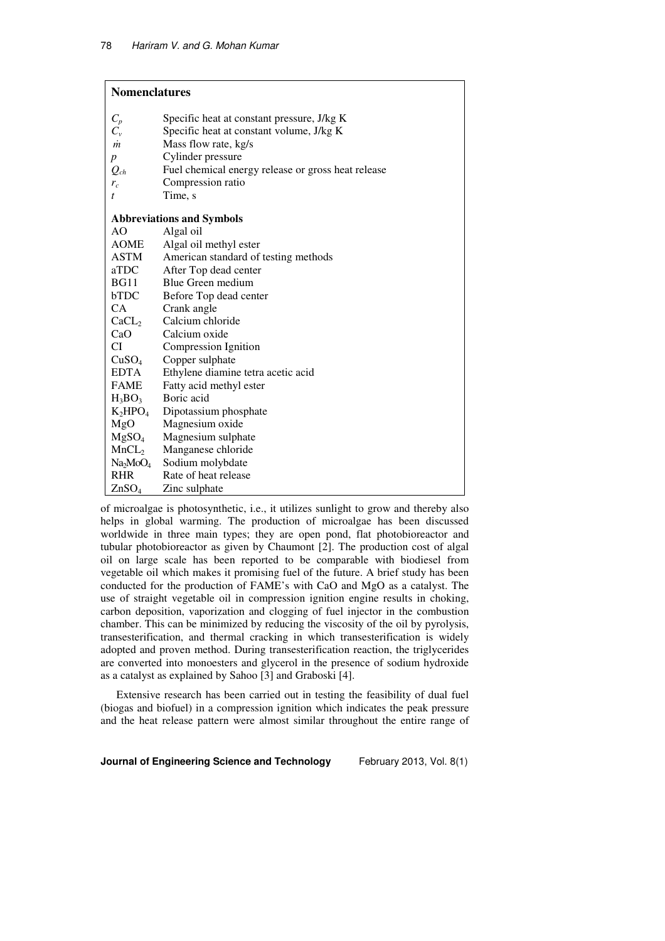| <b>Nomenclatures</b>             |                                                    |  |  |
|----------------------------------|----------------------------------------------------|--|--|
| $C_p$                            | Specific heat at constant pressure, J/kg K         |  |  |
| $C_{v}$                          | Specific heat at constant volume, J/kg K           |  |  |
| $\dot{m}$                        | Mass flow rate, kg/s                               |  |  |
| p                                | Cylinder pressure                                  |  |  |
| $Q_{ch}$                         | Fuel chemical energy release or gross heat release |  |  |
| $r_c$                            | Compression ratio                                  |  |  |
| t                                | Time, s                                            |  |  |
|                                  | <b>Abbreviations and Symbols</b>                   |  |  |
| AO                               | Algal oil                                          |  |  |
| <b>AOME</b>                      | Algal oil methyl ester                             |  |  |
| ASTM                             | American standard of testing methods               |  |  |
| aTDC                             | After Top dead center                              |  |  |
| <b>BG11</b>                      | Blue Green medium                                  |  |  |
| <b>bTDC</b>                      | Before Top dead center                             |  |  |
| CA                               | Crank angle                                        |  |  |
| CaCL <sub>2</sub>                | Calcium chloride                                   |  |  |
| CaO                              | Calcium oxide                                      |  |  |
| CI                               | Compression Ignition                               |  |  |
| CuSO <sub>4</sub>                | Copper sulphate                                    |  |  |
| <b>EDTA</b>                      | Ethylene diamine tetra acetic acid                 |  |  |
| <b>FAME</b>                      | Fatty acid methyl ester                            |  |  |
| $H_3BO_3$                        | Boric acid                                         |  |  |
| $K_2HPO_4$                       | Dipotassium phosphate                              |  |  |
| MgO                              | Magnesium oxide                                    |  |  |
| MgSO <sub>4</sub>                | Magnesium sulphate                                 |  |  |
| MnCL <sub>2</sub>                | Manganese chloride                                 |  |  |
| Na <sub>2</sub> MoO <sub>4</sub> | Sodium molybdate                                   |  |  |
| <b>RHR</b>                       | Rate of heat release                               |  |  |
| ZnSO <sub>4</sub>                | Zinc sulphate                                      |  |  |

of microalgae is photosynthetic, i.e., it utilizes sunlight to grow and thereby also helps in global warming. The production of microalgae has been discussed worldwide in three main types; they are open pond, flat photobioreactor and tubular photobioreactor as given by Chaumont [2]. The production cost of algal oil on large scale has been reported to be comparable with biodiesel from vegetable oil which makes it promising fuel of the future. A brief study has been conducted for the production of FAME's with CaO and MgO as a catalyst. The use of straight vegetable oil in compression ignition engine results in choking, carbon deposition, vaporization and clogging of fuel injector in the combustion chamber. This can be minimized by reducing the viscosity of the oil by pyrolysis, transesterification, and thermal cracking in which transesterification is widely adopted and proven method. During transesterification reaction, the triglycerides are converted into monoesters and glycerol in the presence of sodium hydroxide as a catalyst as explained by Sahoo [3] and Graboski [4].

Extensive research has been carried out in testing the feasibility of dual fuel (biogas and biofuel) in a compression ignition which indicates the peak pressure and the heat release pattern were almost similar throughout the entire range of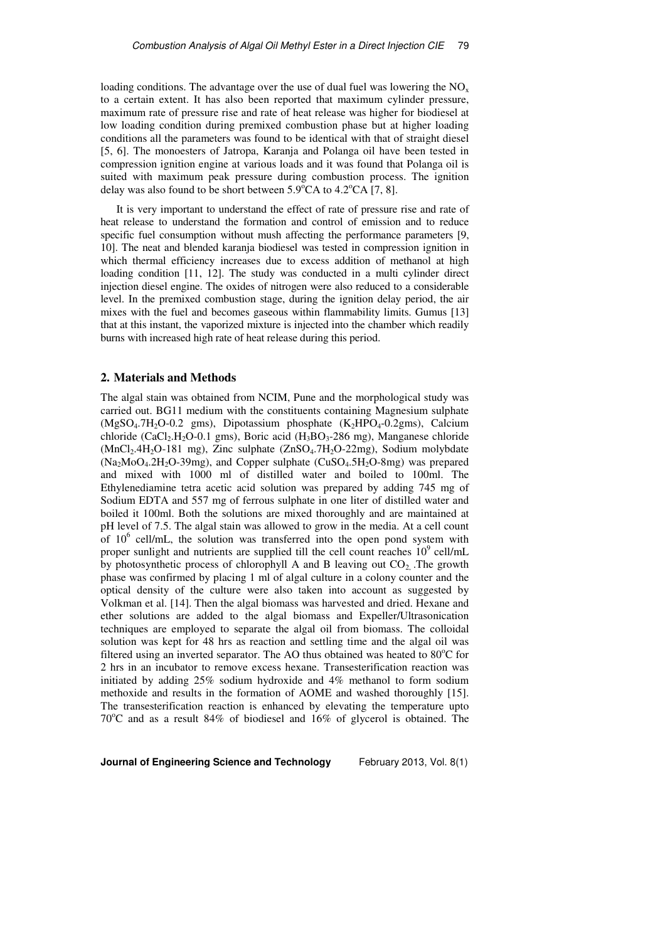loading conditions. The advantage over the use of dual fuel was lowering the  $NO<sub>x</sub>$ to a certain extent. It has also been reported that maximum cylinder pressure, maximum rate of pressure rise and rate of heat release was higher for biodiesel at low loading condition during premixed combustion phase but at higher loading conditions all the parameters was found to be identical with that of straight diesel [5, 6]. The monoesters of Jatropa, Karanja and Polanga oil have been tested in compression ignition engine at various loads and it was found that Polanga oil is suited with maximum peak pressure during combustion process. The ignition delay was also found to be short between  $5.9^{\circ}CA$  to  $4.2^{\circ}CA$  [7, 8].

It is very important to understand the effect of rate of pressure rise and rate of heat release to understand the formation and control of emission and to reduce specific fuel consumption without mush affecting the performance parameters [9, 10]. The neat and blended karanja biodiesel was tested in compression ignition in which thermal efficiency increases due to excess addition of methanol at high loading condition [11, 12]. The study was conducted in a multi cylinder direct injection diesel engine. The oxides of nitrogen were also reduced to a considerable level. In the premixed combustion stage, during the ignition delay period, the air mixes with the fuel and becomes gaseous within flammability limits. Gumus [13] that at this instant, the vaporized mixture is injected into the chamber which readily burns with increased high rate of heat release during this period.

## **2. Materials and Methods**

The algal stain was obtained from NCIM, Pune and the morphological study was carried out. BG11 medium with the constituents containing Magnesium sulphate  $(MgSO<sub>4</sub>.7H<sub>2</sub>O-0.2 gms)$ , Dipotassium phosphate  $(K<sub>2</sub>HPO<sub>4</sub>-0.2gms)$ , Calcium chloride (CaCl<sub>2</sub>.H<sub>2</sub>O-0.1 gms), Boric acid (H<sub>3</sub>BO<sub>3</sub>-286 mg), Manganese chloride (MnCl<sub>2</sub>.4H<sub>2</sub>O-181 mg), Zinc sulphate (ZnSO<sub>4</sub>.7H<sub>2</sub>O-22mg), Sodium molybdate  $(Na<sub>2</sub>MoO<sub>4</sub>.2H<sub>2</sub>O-39mg)$ , and Copper sulphate  $(CuSO<sub>4</sub>.5H<sub>2</sub>O-8mg)$  was prepared and mixed with 1000 ml of distilled water and boiled to 100ml. The Ethylenediamine tetra acetic acid solution was prepared by adding 745 mg of Sodium EDTA and 557 mg of ferrous sulphate in one liter of distilled water and boiled it 100ml. Both the solutions are mixed thoroughly and are maintained at pH level of 7.5. The algal stain was allowed to grow in the media. At a cell count of  $10^6$  cell/mL, the solution was transferred into the open pond system with proper sunlight and nutrients are supplied till the cell count reaches  $10^9$  cell/mL by photosynthetic process of chlorophyll A and B leaving out  $CO<sub>2</sub>$ . The growth phase was confirmed by placing 1 ml of algal culture in a colony counter and the optical density of the culture were also taken into account as suggested by Volkman et al. [14]. Then the algal biomass was harvested and dried. Hexane and ether solutions are added to the algal biomass and Expeller/Ultrasonication techniques are employed to separate the algal oil from biomass. The colloidal solution was kept for 48 hrs as reaction and settling time and the algal oil was filtered using an inverted separator. The AO thus obtained was heated to  $80^{\circ}$ C for 2 hrs in an incubator to remove excess hexane. Transesterification reaction was initiated by adding 25% sodium hydroxide and 4% methanol to form sodium methoxide and results in the formation of AOME and washed thoroughly [15]. The transesterification reaction is enhanced by elevating the temperature upto  $70^{\circ}$ C and as a result 84% of biodiesel and 16% of glycerol is obtained. The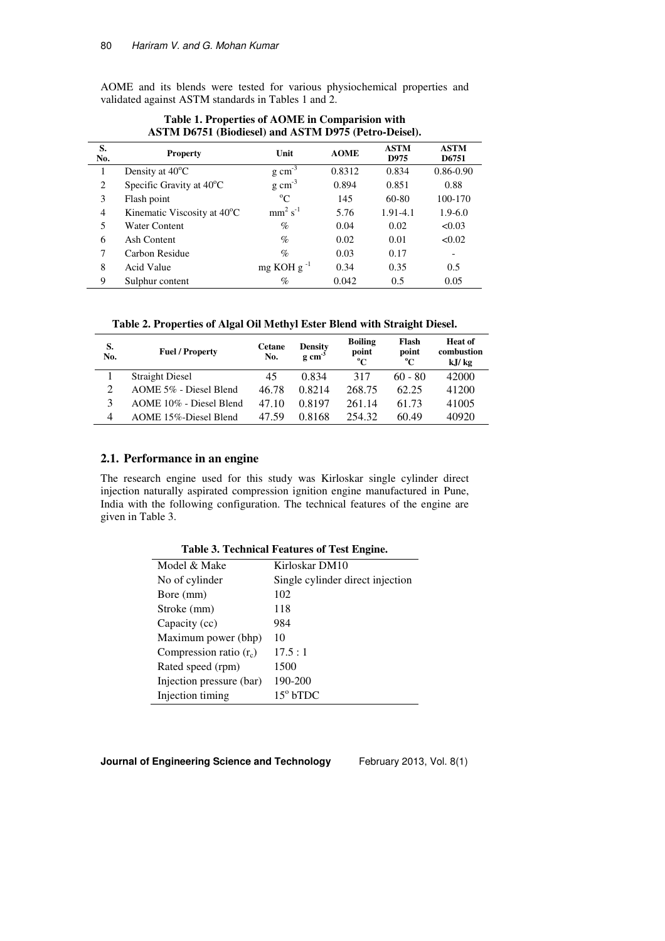AOME and its blends were tested for various physiochemical properties and validated against ASTM standards in Tables 1 and 2.

| S.<br>No. | <b>Property</b>                          | Unit                | <b>AOME</b> | <b>ASTM</b><br>D975 | <b>ASTM</b><br>D6751     |
|-----------|------------------------------------------|---------------------|-------------|---------------------|--------------------------|
|           | Density at $40^{\circ}$ C                | $g \text{ cm}^{-3}$ | 0.8312      | 0.834               | $0.86 - 0.90$            |
| 2         | Specific Gravity at $40^{\circ}$ C       | $g \text{ cm}^{-3}$ | 0.894       | 0.851               | 0.88                     |
| 3         | Flash point                              | $^{\circ}C$         | 145         | 60-80               | 100-170                  |
| 4         | Kinematic Viscosity at 40 <sup>o</sup> C | $mm2 s-1$           | 5.76        | 1.91-4.1            | $1.9 - 6.0$              |
| 5         | Water Content                            | $\%$                | 0.04        | 0.02                | < 0.03                   |
| 6         | Ash Content                              | $\%$                | 0.02        | 0.01                | < 0.02                   |
| 7         | Carbon Residue                           | $\%$                | 0.03        | 0.17                | $\overline{\phantom{0}}$ |
| 8         | Acid Value                               | mg KOH g $^{-1}$    | 0.34        | 0.35                | 0.5                      |
| 9         | Sulphur content                          | $\%$                | 0.042       | 0.5                 | 0.05                     |

**Table 1. Properties of AOME in Comparision with ASTM D6751 (Biodiesel) and ASTM D975 (Petro-Deisel).** 

**Table 2. Properties of Algal Oil Methyl Ester Blend with Straight Diesel.** 

| S.<br>No.    | <b>Fuel / Property</b>  | <b>Cetane</b><br>No. | <b>Density</b><br>$g \text{ cm}^{-3}$ | <b>Boiling</b><br>point<br>$^{\circ}C$ | Flash<br>point<br>$\rm ^{o}C$ | Heat of<br>combustion<br>kJ/kg |
|--------------|-------------------------|----------------------|---------------------------------------|----------------------------------------|-------------------------------|--------------------------------|
|              | <b>Straight Diesel</b>  | 45                   | 0.834                                 | 317                                    | $60 - 80$                     | 42000                          |
| C            | AOME 5% - Diesel Blend  | 46.78                | 0.8214                                | 268.75                                 | 62.25                         | 41200                          |
| $\mathbf{z}$ | AOME 10% - Diesel Blend | 47.10                | 0.8197                                | 261.14                                 | 61.73                         | 41005                          |
| 4            | AOME 15%-Diesel Blend   | 47.59                | 0.8168                                | 254.32                                 | 60.49                         | 40920                          |

# **2.1. Performance in an engine**

The research engine used for this study was Kirloskar single cylinder direct injection naturally aspirated compression ignition engine manufactured in Pune, India with the following configuration. The technical features of the engine are given in Table 3.

| Table 5. Technical reatures of Test Engine. |                                  |  |  |
|---------------------------------------------|----------------------------------|--|--|
| Model & Make                                | Kirloskar DM10                   |  |  |
| No of cylinder                              | Single cylinder direct injection |  |  |
| Bore (mm)                                   | 102                              |  |  |
| Stroke (mm)                                 | 118                              |  |  |
| Capacity (cc)                               | 984                              |  |  |
| Maximum power (bhp)                         | 10                               |  |  |
| Compression ratio $(r_c)$                   | 17.5:1                           |  |  |
| Rated speed (rpm)                           | 1500                             |  |  |
| Injection pressure (bar)                    | 190-200                          |  |  |

15<sup>°</sup> bTDC

**Table 3. Technical Features of Test Engine.** 

**Journal of Engineering Science and Technology** February 2013, Vol. 8(1)

Injection timing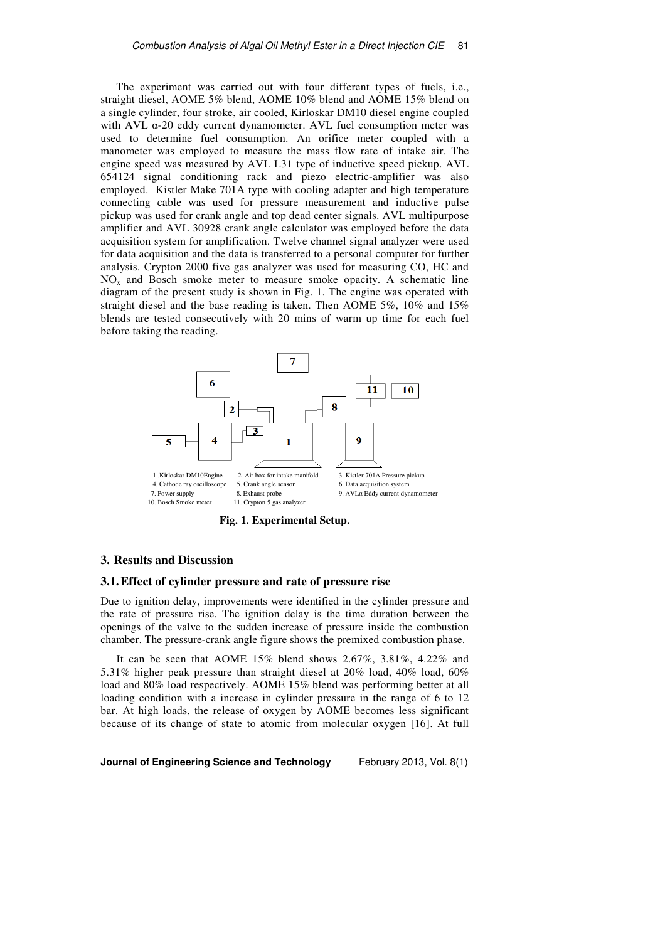The experiment was carried out with four different types of fuels, i.e., straight diesel, AOME 5% blend, AOME 10% blend and AOME 15% blend on a single cylinder, four stroke, air cooled, Kirloskar DM10 diesel engine coupled with AVL α-20 eddy current dynamometer. AVL fuel consumption meter was used to determine fuel consumption. An orifice meter coupled with a manometer was employed to measure the mass flow rate of intake air. The engine speed was measured by AVL L31 type of inductive speed pickup. AVL 654124 signal conditioning rack and piezo electric-amplifier was also employed. Kistler Make 701A type with cooling adapter and high temperature connecting cable was used for pressure measurement and inductive pulse pickup was used for crank angle and top dead center signals. AVL multipurpose amplifier and AVL 30928 crank angle calculator was employed before the data acquisition system for amplification. Twelve channel signal analyzer were used for data acquisition and the data is transferred to a personal computer for further analysis. Crypton 2000 five gas analyzer was used for measuring CO, HC and  $NO<sub>x</sub>$  and Bosch smoke meter to measure smoke opacity. A schematic line diagram of the present study is shown in Fig. 1. The engine was operated with straight diesel and the base reading is taken. Then AOME 5%, 10% and 15% blends are tested consecutively with 20 mins of warm up time for each fuel before taking the reading.



**Fig. 1. Experimental Setup.** 

#### **3. Results and Discussion**

### **3.1.Effect of cylinder pressure and rate of pressure rise**

Due to ignition delay, improvements were identified in the cylinder pressure and the rate of pressure rise. The ignition delay is the time duration between the openings of the valve to the sudden increase of pressure inside the combustion chamber. The pressure-crank angle figure shows the premixed combustion phase.

It can be seen that AOME 15% blend shows 2.67%, 3.81%, 4.22% and 5.31% higher peak pressure than straight diesel at 20% load, 40% load, 60% load and 80% load respectively. AOME 15% blend was performing better at all loading condition with a increase in cylinder pressure in the range of 6 to 12 bar. At high loads, the release of oxygen by AOME becomes less significant because of its change of state to atomic from molecular oxygen [16]. At full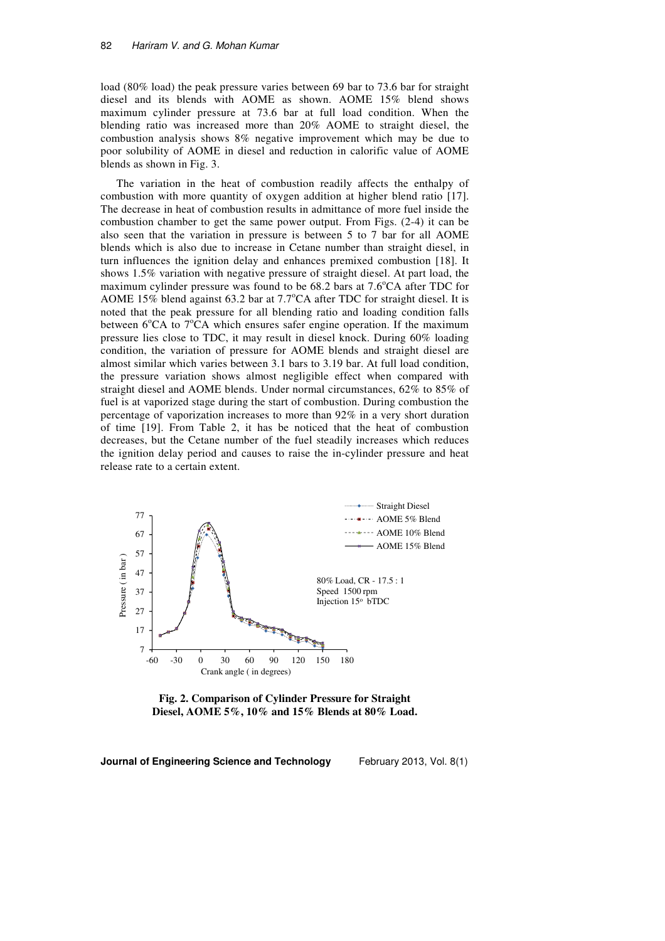load (80% load) the peak pressure varies between 69 bar to 73.6 bar for straight diesel and its blends with AOME as shown. AOME 15% blend shows maximum cylinder pressure at 73.6 bar at full load condition. When the blending ratio was increased more than 20% AOME to straight diesel, the combustion analysis shows 8% negative improvement which may be due to poor solubility of AOME in diesel and reduction in calorific value of AOME blends as shown in Fig. 3.

The variation in the heat of combustion readily affects the enthalpy of combustion with more quantity of oxygen addition at higher blend ratio [17]. The decrease in heat of combustion results in admittance of more fuel inside the combustion chamber to get the same power output. From Figs. (2-4) it can be also seen that the variation in pressure is between 5 to 7 bar for all AOME blends which is also due to increase in Cetane number than straight diesel, in turn influences the ignition delay and enhances premixed combustion [18]. It shows 1.5% variation with negative pressure of straight diesel. At part load, the maximum cylinder pressure was found to be  $68.2$  bars at  $7.6^{\circ}$ CA after TDC for AOME 15% blend against 63.2 bar at 7.7°CA after TDC for straight diesel. It is noted that the peak pressure for all blending ratio and loading condition falls between  $6^{\circ}$ CA to  $7^{\circ}$ CA which ensures safer engine operation. If the maximum pressure lies close to TDC, it may result in diesel knock. During 60% loading condition, the variation of pressure for AOME blends and straight diesel are almost similar which varies between 3.1 bars to 3.19 bar. At full load condition, the pressure variation shows almost negligible effect when compared with straight diesel and AOME blends. Under normal circumstances, 62% to 85% of fuel is at vaporized stage during the start of combustion. During combustion the percentage of vaporization increases to more than 92% in a very short duration of time [19]. From Table 2, it has be noticed that the heat of combustion decreases, but the Cetane number of the fuel steadily increases which reduces the ignition delay period and causes to raise the in-cylinder pressure and heat release rate to a certain extent.



**Fig. 2. Comparison of Cylinder Pressure for Straight Diesel, AOME 5%, 10% and 15% Blends at 80% Load.**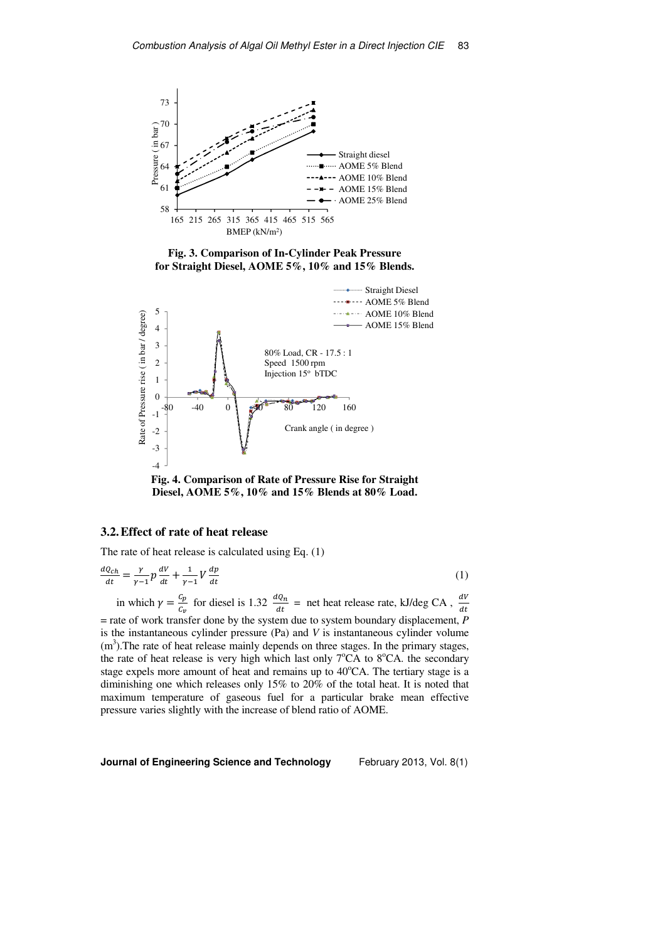

**Fig. 3. Comparison of In-Cylinder Peak Pressure for Straight Diesel, AOME 5%, 10% and 15% Blends.** 





## **3.2.Effect of rate of heat release**

The rate of heat release is calculated using Eq. (1)

$$
\frac{dQ_{ch}}{dt} = \frac{\gamma}{\gamma - 1} p \frac{dV}{dt} + \frac{1}{\gamma - 1} V \frac{dp}{dt}
$$
 (1)

in which  $\gamma = \frac{c_p}{c_p}$  $\frac{c_p}{c_v}$  for diesel is 1.32  $\frac{dQ_n}{dt}$  $\frac{dQ_n}{dt}$  = net heat release rate, kJ/deg CA,  $\frac{dV}{dt}$ = rate of work transfer done by the system due to system boundary displacement, *P* is the instantaneous cylinder pressure (Pa) and *V* is instantaneous cylinder volume  $(m<sup>3</sup>)$ . The rate of heat release mainly depends on three stages. In the primary stages, the rate of heat release is very high which last only  $7^{\circ}CA$  to  $8^{\circ}CA$ . the secondary stage expels more amount of heat and remains up to  $40^{\circ}$ CA. The tertiary stage is a diminishing one which releases only 15% to 20% of the total heat. It is noted that maximum temperature of gaseous fuel for a particular brake mean effective pressure varies slightly with the increase of blend ratio of AOME.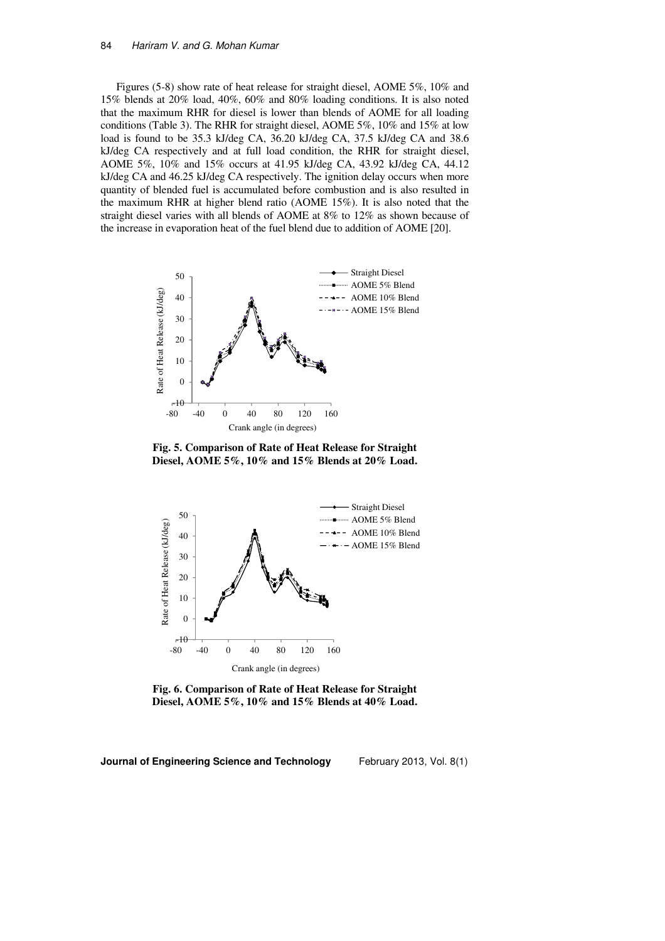Figures (5-8) show rate of heat release for straight diesel, AOME 5%, 10% and 15% blends at 20% load, 40%, 60% and 80% loading conditions. It is also noted that the maximum RHR for diesel is lower than blends of AOME for all loading conditions (Table 3). The RHR for straight diesel, AOME 5%, 10% and 15% at low load is found to be 35.3 kJ/deg CA, 36.20 kJ/deg CA, 37.5 kJ/deg CA and 38.6 kJ/deg CA respectively and at full load condition, the RHR for straight diesel, AOME 5%, 10% and 15% occurs at 41.95 kJ/deg CA, 43.92 kJ/deg CA, 44.12 kJ/deg CA and 46.25 kJ/deg CA respectively. The ignition delay occurs when more quantity of blended fuel is accumulated before combustion and is also resulted in the maximum RHR at higher blend ratio (AOME 15%). It is also noted that the straight diesel varies with all blends of AOME at 8% to 12% as shown because of the increase in evaporation heat of the fuel blend due to addition of AOME [20].



**Fig. 5. Comparison of Rate of Heat Release for Straight Diesel, AOME 5%, 10% and 15% Blends at 20% Load.** 



**Fig. 6. Comparison of Rate of Heat Release for Straight Diesel, AOME 5%, 10% and 15% Blends at 40% Load.**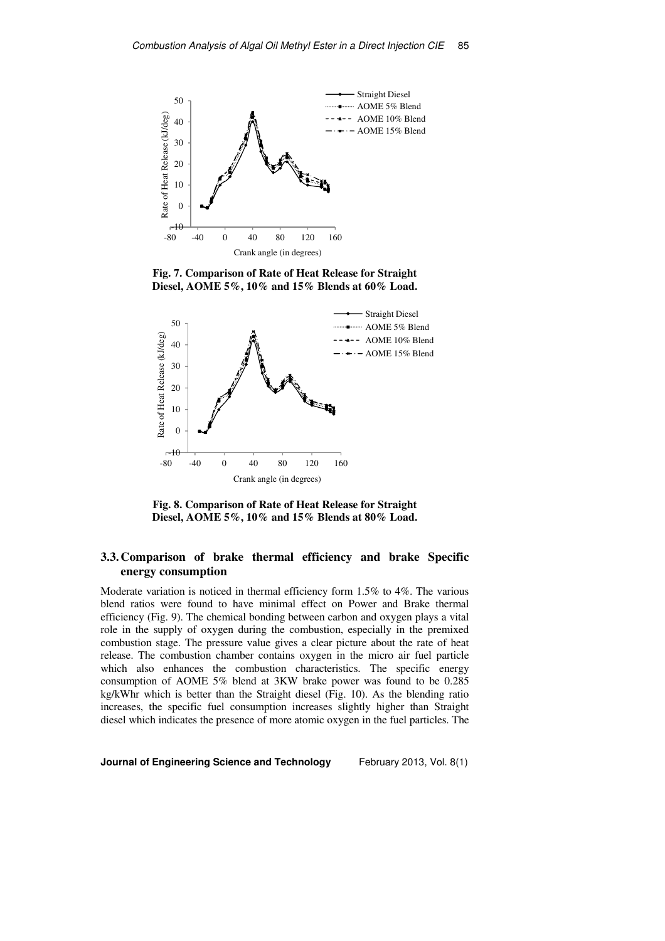

**Fig. 7. Comparison of Rate of Heat Release for Straight Diesel, AOME 5%, 10% and 15% Blends at 60% Load.** 



**Fig. 8. Comparison of Rate of Heat Release for Straight Diesel, AOME 5%, 10% and 15% Blends at 80% Load.** 

# **3.3.Comparison of brake thermal efficiency and brake Specific energy consumption**

Moderate variation is noticed in thermal efficiency form 1.5% to 4%. The various blend ratios were found to have minimal effect on Power and Brake thermal efficiency (Fig. 9). The chemical bonding between carbon and oxygen plays a vital role in the supply of oxygen during the combustion, especially in the premixed combustion stage. The pressure value gives a clear picture about the rate of heat release. The combustion chamber contains oxygen in the micro air fuel particle which also enhances the combustion characteristics. The specific energy consumption of AOME 5% blend at 3KW brake power was found to be 0.285 kg/kWhr which is better than the Straight diesel (Fig. 10). As the blending ratio increases, the specific fuel consumption increases slightly higher than Straight diesel which indicates the presence of more atomic oxygen in the fuel particles. The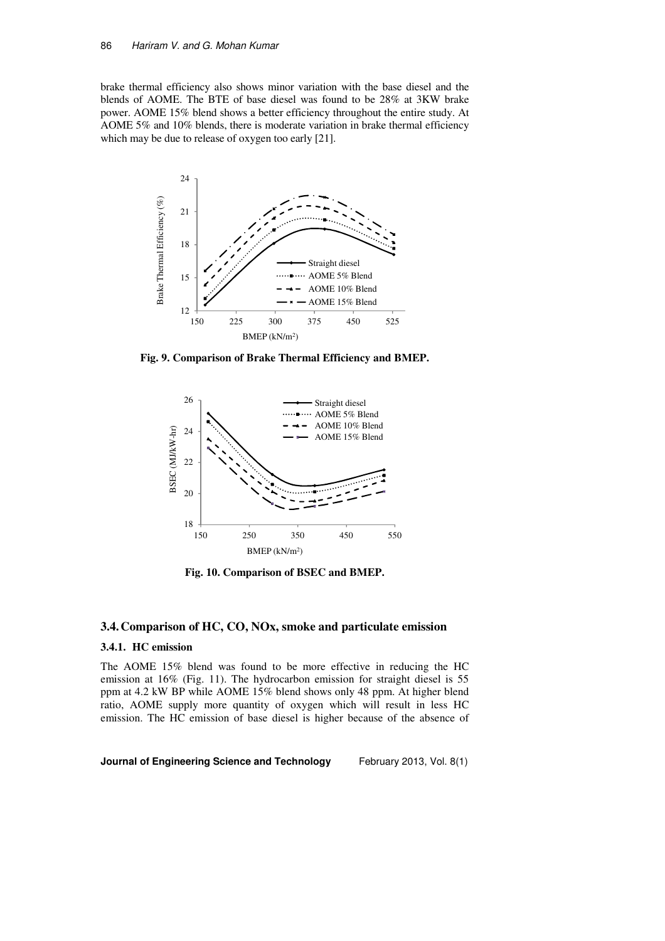brake thermal efficiency also shows minor variation with the base diesel and the blends of AOME. The BTE of base diesel was found to be 28% at 3KW brake power. AOME 15% blend shows a better efficiency throughout the entire study. At AOME 5% and 10% blends, there is moderate variation in brake thermal efficiency which may be due to release of oxygen too early [21].



**Fig. 9. Comparison of Brake Thermal Efficiency and BMEP.** 



**Fig. 10. Comparison of BSEC and BMEP.** 

## **3.4.Comparison of HC, CO, NOx, smoke and particulate emission**

### **3.4.1. HC emission**

The AOME 15% blend was found to be more effective in reducing the HC emission at 16% (Fig. 11). The hydrocarbon emission for straight diesel is 55 ppm at 4.2 kW BP while AOME 15% blend shows only 48 ppm. At higher blend ratio, AOME supply more quantity of oxygen which will result in less HC emission. The HC emission of base diesel is higher because of the absence of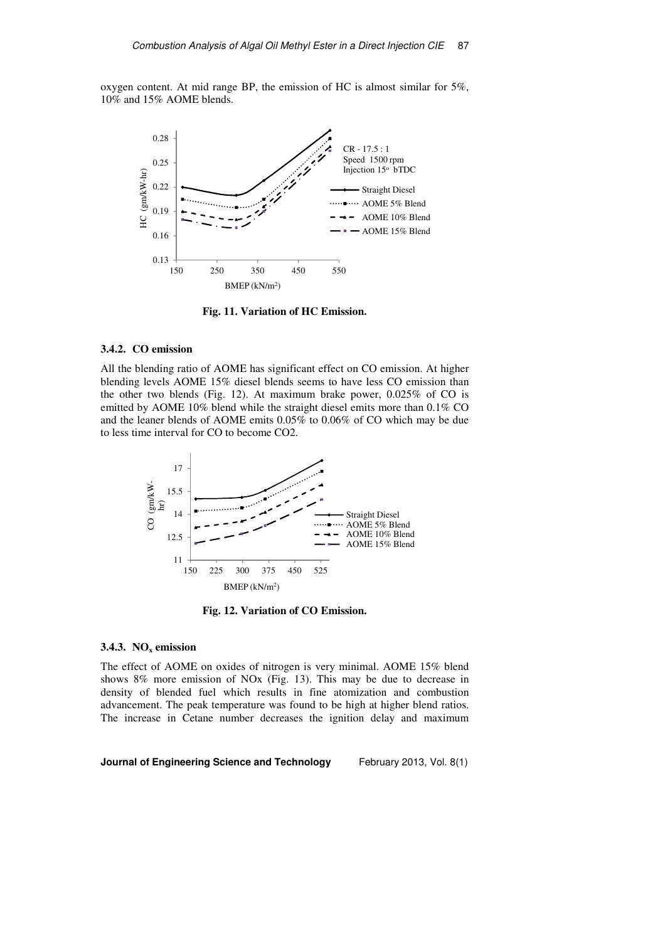oxygen content. At mid range BP, the emission of HC is almost similar for 5%, 10% and 15% AOME blends.



**Fig. 11. Variation of HC Emission.** 

#### **3.4.2. CO emission**

All the blending ratio of AOME has significant effect on CO emission. At higher blending levels AOME 15% diesel blends seems to have less CO emission than the other two blends (Fig. 12). At maximum brake power, 0.025% of CO is emitted by AOME 10% blend while the straight diesel emits more than 0.1% CO and the leaner blends of AOME emits 0.05% to 0.06% of CO which may be due to less time interval for CO to become CO2.



**Fig. 12. Variation of CO Emission.** 

### **3.4.3. NOx emission**

The effect of AOME on oxides of nitrogen is very minimal. AOME 15% blend shows 8% more emission of NOx (Fig. 13). This may be due to decrease in density of blended fuel which results in fine atomization and combustion advancement. The peak temperature was found to be high at higher blend ratios. The increase in Cetane number decreases the ignition delay and maximum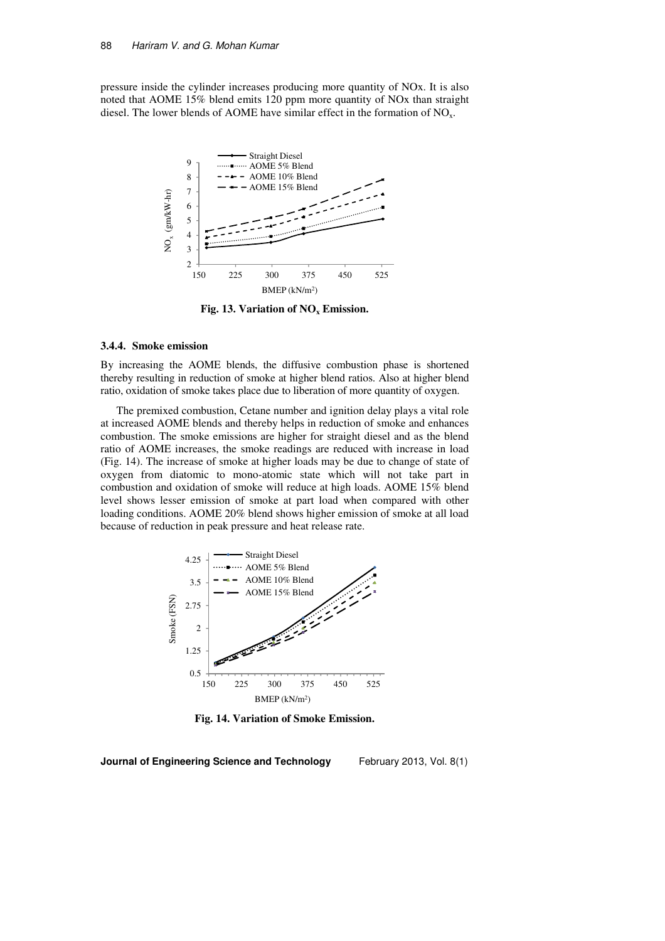pressure inside the cylinder increases producing more quantity of NOx. It is also noted that AOME 15% blend emits 120 ppm more quantity of NOx than straight diesel. The lower blends of AOME have similar effect in the formation of  $NO<sub>x</sub>$ .



**Fig. 13. Variation of NOx Emission.** 

#### **3.4.4. Smoke emission**

By increasing the AOME blends, the diffusive combustion phase is shortened thereby resulting in reduction of smoke at higher blend ratios. Also at higher blend ratio, oxidation of smoke takes place due to liberation of more quantity of oxygen.

The premixed combustion, Cetane number and ignition delay plays a vital role at increased AOME blends and thereby helps in reduction of smoke and enhances combustion. The smoke emissions are higher for straight diesel and as the blend ratio of AOME increases, the smoke readings are reduced with increase in load (Fig. 14). The increase of smoke at higher loads may be due to change of state of oxygen from diatomic to mono-atomic state which will not take part in combustion and oxidation of smoke will reduce at high loads. AOME 15% blend level shows lesser emission of smoke at part load when compared with other loading conditions. AOME 20% blend shows higher emission of smoke at all load because of reduction in peak pressure and heat release rate.



**Fig. 14. Variation of Smoke Emission.**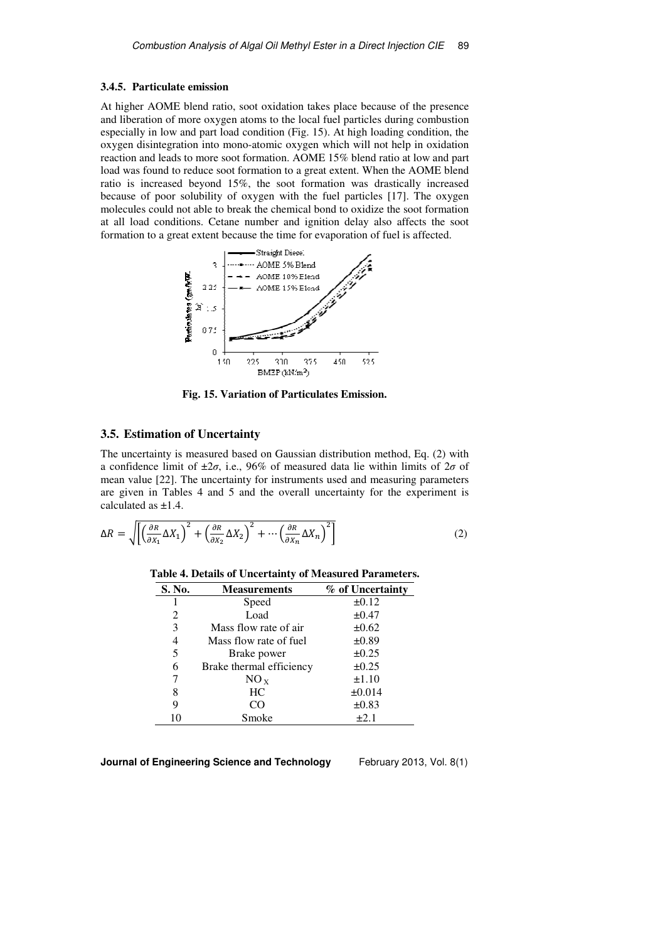#### **3.4.5. Particulate emission**

At higher AOME blend ratio, soot oxidation takes place because of the presence and liberation of more oxygen atoms to the local fuel particles during combustion especially in low and part load condition (Fig. 15). At high loading condition, the oxygen disintegration into mono-atomic oxygen which will not help in oxidation reaction and leads to more soot formation. AOME 15% blend ratio at low and part load was found to reduce soot formation to a great extent. When the AOME blend ratio is increased beyond 15%, the soot formation was drastically increased because of poor solubility of oxygen with the fuel particles [17]. The oxygen molecules could not able to break the chemical bond to oxidize the soot formation at all load conditions. Cetane number and ignition delay also affects the soot formation to a great extent because the time for evaporation of fuel is affected.



**Fig. 15. Variation of Particulates Emission.** 

# **3.5. Estimation of Uncertainty**

The uncertainty is measured based on Gaussian distribution method, Eq. (2) with a confidence limit of  $\pm 2\sigma$ , i.e., 96% of measured data lie within limits of  $2\sigma$  of mean value [22]. The uncertainty for instruments used and measuring parameters are given in Tables 4 and 5 and the overall uncertainty for the experiment is calculated as ±1.4.

$$
\Delta R = \sqrt{\left[ \left( \frac{\partial R}{\partial X_1} \Delta X_1 \right)^2 + \left( \frac{\partial R}{\partial X_2} \Delta X_2 \right)^2 + \dots + \left( \frac{\partial R}{\partial X_n} \Delta X_n \right)^2 \right]}
$$
(2)

| Table 4. Details of Uncertainty of Measured Parameters. |  |
|---------------------------------------------------------|--|
|---------------------------------------------------------|--|

| S. No. | Measurements             | % of Uncertainty |
|--------|--------------------------|------------------|
|        | Speed                    | $\pm 0.12$       |
| 2      | Load                     | $\pm 0.47$       |
| 3      | Mass flow rate of air    | $\pm 0.62$       |
| 4      | Mass flow rate of fuel   | $\pm 0.89$       |
| 5      | Brake power              | $\pm 0.25$       |
| 6      | Brake thermal efficiency | $\pm 0.25$       |
| 7      | $NO_{X}$                 | $\pm 1.10$       |
| 8      | HC.                      | $\pm 0.014$      |
| 9      | CO                       | $\pm 0.83$       |
|        | Smoke                    | $+2.1$           |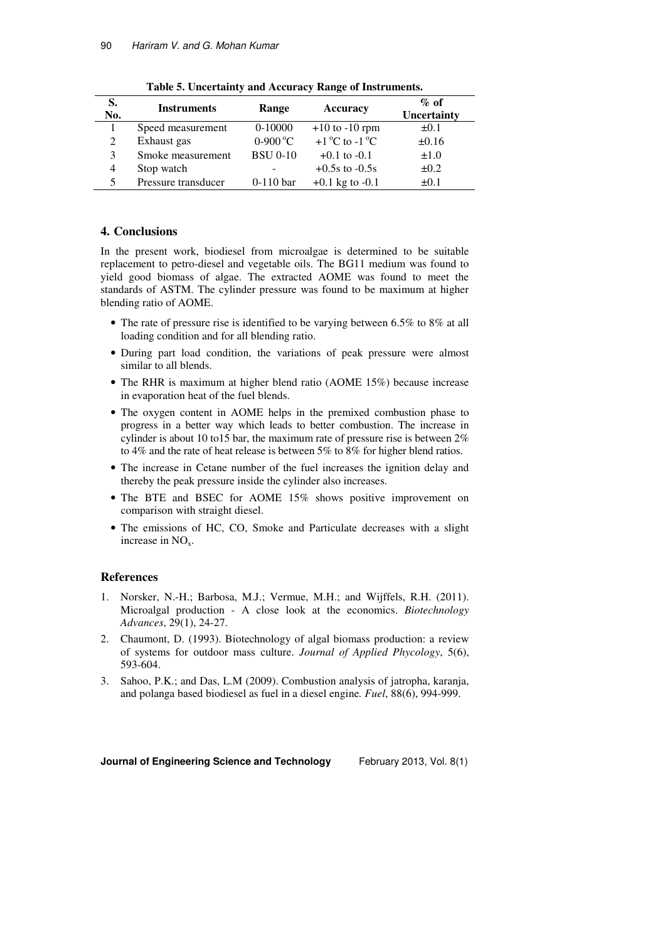| S.<br>No. | <b>Instruments</b>  | Range            | Accuracy                                 | $\%$ of<br><b>Uncertainty</b> |
|-----------|---------------------|------------------|------------------------------------------|-------------------------------|
|           | Speed measurement   | $0-10000$        | $+10$ to $-10$ rpm                       | $\pm 0.1$                     |
| 2         | Exhaust gas         | $0-900\text{°C}$ | $+1$ <sup>o</sup> C to -1 <sup>o</sup> C | $\pm 0.16$                    |
| 3         | Smoke measurement   | <b>BSU 0-10</b>  | $+0.1$ to $-0.1$                         | $\pm 1.0$                     |
| 4         | Stop watch          |                  | $+0.5s$ to $-0.5s$                       | $\pm 0.2$                     |
| 5         | Pressure transducer | $0-110$ bar      | $+0.1$ kg to $-0.1$                      | $\pm 0.1$                     |

**Table 5. Uncertainty and Accuracy Range of Instruments.** 

## **4. Conclusions**

In the present work, biodiesel from microalgae is determined to be suitable replacement to petro-diesel and vegetable oils. The BG11 medium was found to yield good biomass of algae. The extracted AOME was found to meet the standards of ASTM. The cylinder pressure was found to be maximum at higher blending ratio of AOME.

- The rate of pressure rise is identified to be varying between 6.5% to 8% at all loading condition and for all blending ratio.
- During part load condition, the variations of peak pressure were almost similar to all blends.
- The RHR is maximum at higher blend ratio (AOME 15%) because increase in evaporation heat of the fuel blends.
- The oxygen content in AOME helps in the premixed combustion phase to progress in a better way which leads to better combustion. The increase in cylinder is about 10 to15 bar, the maximum rate of pressure rise is between 2% to 4% and the rate of heat release is between 5% to 8% for higher blend ratios.
- The increase in Cetane number of the fuel increases the ignition delay and thereby the peak pressure inside the cylinder also increases.
- The BTE and BSEC for AOME 15% shows positive improvement on comparison with straight diesel.
- The emissions of HC, CO, Smoke and Particulate decreases with a slight increase in  $NO<sub>x</sub>$ .

# **References**

- 1. Norsker, N.-H.; Barbosa, M.J.; Vermue, M.H.; and Wijffels, R.H. (2011). Microalgal production - A close look at the economics. *Biotechnology Advances*, 29(1), 24-27.
- 2. Chaumont, D. (1993). Biotechnology of algal biomass production: a review of systems for outdoor mass culture. *Journal of Applied Phycology*, 5(6), 593-604.
- 3. Sahoo, P.K.; and Das, L.M (2009). Combustion analysis of jatropha, karanja, and polanga based biodiesel as fuel in a diesel engine*. Fuel*, 88(6), 994-999.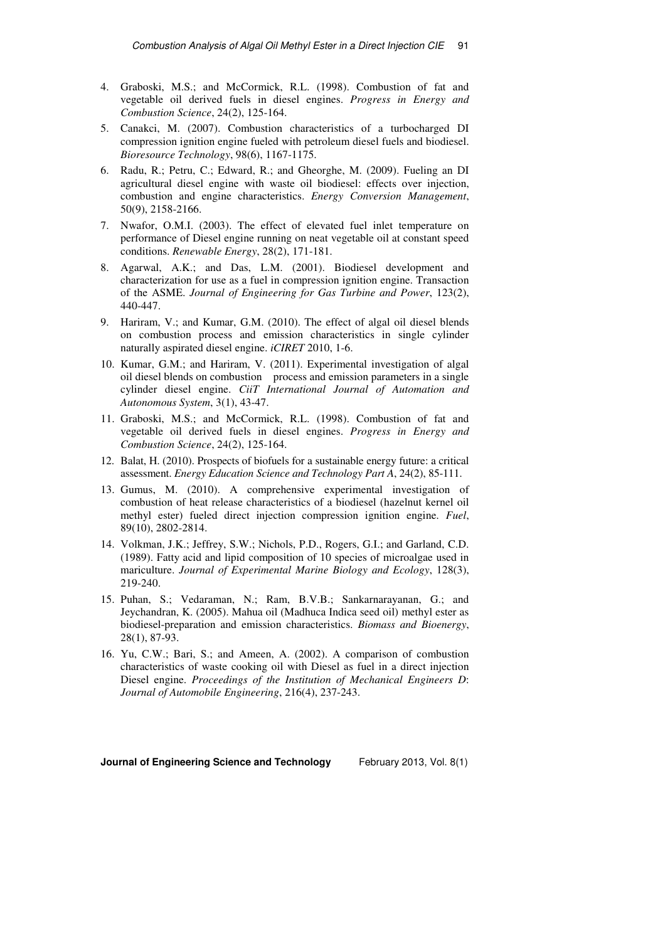- 4. Graboski, M.S.; and McCormick, R.L. (1998). Combustion of fat and vegetable oil derived fuels in diesel engines. *Progress in Energy and Combustion Science*, 24(2), 125-164.
- 5. Canakci, M. (2007). Combustion characteristics of a turbocharged DI compression ignition engine fueled with petroleum diesel fuels and biodiesel. *Bioresource Technology*, 98(6), 1167-1175.
- 6. Radu, R.; Petru, C.; Edward, R.; and Gheorghe, M. (2009). Fueling an DI agricultural diesel engine with waste oil biodiesel: effects over injection, combustion and engine characteristics. *Energy Conversion Management*, 50(9), 2158-2166.
- 7. Nwafor, O.M.I. (2003). The effect of elevated fuel inlet temperature on performance of Diesel engine running on neat vegetable oil at constant speed conditions. *Renewable Energy*, 28(2), 171-181.
- 8. Agarwal, A.K.; and Das, L.M. (2001). Biodiesel development and characterization for use as a fuel in compression ignition engine. Transaction of the ASME. *Journal of Engineering for Gas Turbine and Power*, 123(2), 440-447.
- 9. Hariram, V.; and Kumar, G.M. (2010). The effect of algal oil diesel blends on combustion process and emission characteristics in single cylinder naturally aspirated diesel engine. *iCIRET* 2010, 1-6.
- 10. Kumar, G.M.; and Hariram, V. (2011). Experimental investigation of algal oil diesel blends on combustion process and emission parameters in a single cylinder diesel engine. *CiiT International Journal of Automation and Autonomous System*, 3(1), 43-47.
- 11. Graboski, M.S.; and McCormick, R.L. (1998). Combustion of fat and vegetable oil derived fuels in diesel engines. *Progress in Energy and Combustion Science*, 24(2), 125-164.
- 12. Balat, H. (2010). Prospects of biofuels for a sustainable energy future: a critical assessment. *Energy Education Science and Technology Part A*, 24(2), 85-111.
- 13. Gumus, M. (2010). A comprehensive experimental investigation of combustion of heat release characteristics of a biodiesel (hazelnut kernel oil methyl ester) fueled direct injection compression ignition engine. *Fuel*, 89(10), 2802-2814.
- 14. Volkman, J.K.; Jeffrey, S.W.; Nichols, P.D., Rogers, G.I.; and Garland, C.D. (1989). Fatty acid and lipid composition of 10 species of microalgae used in mariculture. *Journal of Experimental Marine Biology and Ecology*, 128(3), 219-240.
- 15. Puhan, S.; Vedaraman, N.; Ram, B.V.B.; Sankarnarayanan, G.; and Jeychandran, K. (2005). Mahua oil (Madhuca Indica seed oil) methyl ester as biodiesel-preparation and emission characteristics. *Biomass and Bioenergy*, 28(1), 87-93.
- 16. Yu, C.W.; Bari, S.; and Ameen, A. (2002). A comparison of combustion characteristics of waste cooking oil with Diesel as fuel in a direct injection Diesel engine. *Proceedings of the Institution of Mechanical Engineers D*: *Journal of Automobile Engineering*, 216(4), 237-243.